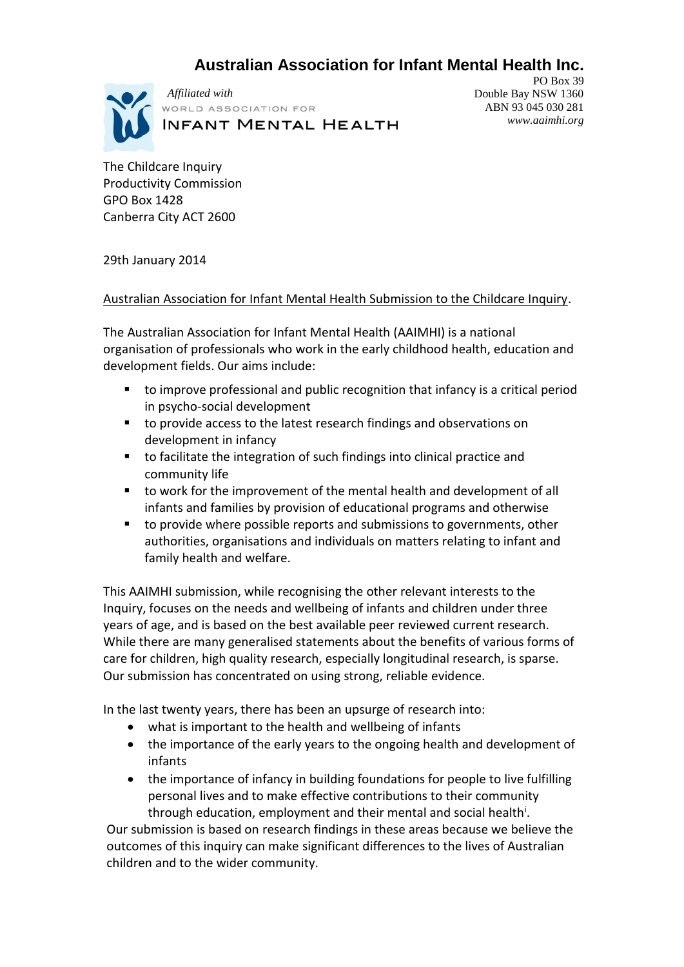# **Australian Association for Infant Mental Health Inc.**



*Affiliated with*VORLD ASSOCIATION FOR **INFANT MENTAL HEALTH** 

PO Box 39 Double Bay NSW 1360 ABN 93 045 030 281 *www.aaimhi.org*

The Childcare Inquiry Productivity Commission GPO Box 1428 Canberra City ACT 2600

29th January 2014

### Australian Association for Infant Mental Health Submission to the Childcare Inquiry.

The Australian Association for Infant Mental Health (AAIMHI) is a national organisation of professionals who work in the early childhood health, education and development fields. Our aims include:

- to improve professional and public recognition that infancy is a critical period in psycho-social development
- to provide access to the latest research findings and observations on development in infancy
- to facilitate the integration of such findings into clinical practice and community life
- to work for the improvement of the mental health and development of all infants and families by provision of educational programs and otherwise
- to provide where possible reports and submissions to governments, other authorities, organisations and individuals on matters relating to infant and family health and welfare.

This AAIMHI submission, while recognising the other relevant interests to the Inquiry, focuses on the needs and wellbeing of infants and children under three years of age, and is based on the best available peer reviewed current research. While there are many generalised statements about the benefits of various forms of care for children, high quality research, especially longitudinal research, is sparse. Our submission has concentrated on using strong, reliable evidence.

In the last twenty years, there has been an upsurge of research into:

- what is important to the health and wellbeing of infants
- the importance of the early years to the ongoing health and development of infants
- the importance of infancy in building foundations for people to live fulfilling personal lives and to make effective contributions to their community through education, employment and their mental and social health<sup>i</sup>.

Our submission is based on research findings in these areas because we believe the outcomes of this inquiry can make significant differences to the lives of Australian children and to the wider community.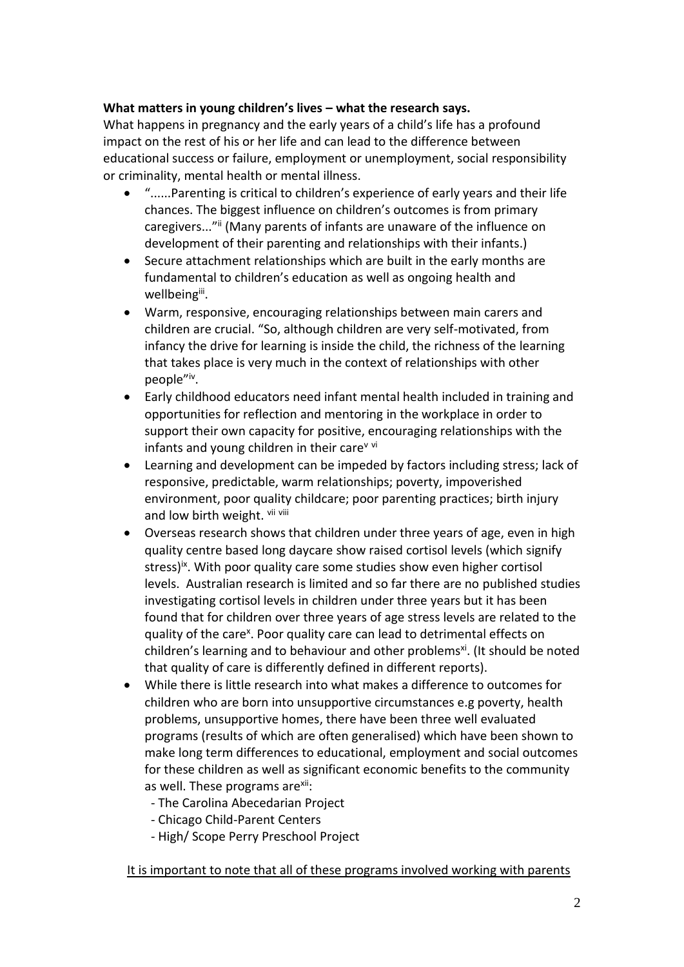## **What matters in young children's lives – what the research says.**

What happens in pregnancy and the early years of a child's life has a profound impact on the rest of his or her life and can lead to the difference between educational success or failure, employment or unemployment, social responsibility or criminality, mental health or mental illness.

- "......Parenting is critical to children's experience of early years and their life chances. The biggest influence on children's outcomes is from primary caregivers..."<sup>ii</sup> (Many parents of infants are unaware of the influence on development of their parenting and relationships with their infants.)
- Secure attachment relationships which are built in the early months are fundamental to children's education as well as ongoing health and wellbeing<sup>iii</sup>.
- Warm, responsive, encouraging relationships between main carers and children are crucial. "So, although children are very self-motivated, from infancy the drive for learning is inside the child, the richness of the learning that takes place is very much in the context of relationships with other people"<sup>iv</sup>.
- Early childhood educators need infant mental health included in training and opportunities for reflection and mentoring in the workplace in order to support their own capacity for positive, encouraging relationships with the infants and young children in their care $v$  vi
- Learning and development can be impeded by factors including stress; lack of responsive, predictable, warm relationships; poverty, impoverished environment, poor quality childcare; poor parenting practices; birth injury and low birth weight. Vii viii
- Overseas research shows that children under three years of age, even in high quality centre based long daycare show raised cortisol levels (which signify stress)<sup>ix</sup>. With poor quality care some studies show even higher cortisol levels. Australian research is limited and so far there are no published studies investigating cortisol levels in children under three years but it has been found that for children over three years of age stress levels are related to the quality of the care<sup>x</sup>. Poor quality care can lead to detrimental effects on children's learning and to behaviour and other problems<sup>xi</sup>. (It should be noted that quality of care is differently defined in different reports).
- While there is little research into what makes a difference to outcomes for children who are born into unsupportive circumstances e.g poverty, health problems, unsupportive homes, there have been three well evaluated programs (results of which are often generalised) which have been shown to make long term differences to educational, employment and social outcomes for these children as well as significant economic benefits to the community as well. These programs are<sup>xii</sup>:
	- The Carolina Abecedarian Project
	- Chicago Child-Parent Centers
	- High/ Scope Perry Preschool Project

## It is important to note that all of these programs involved working with parents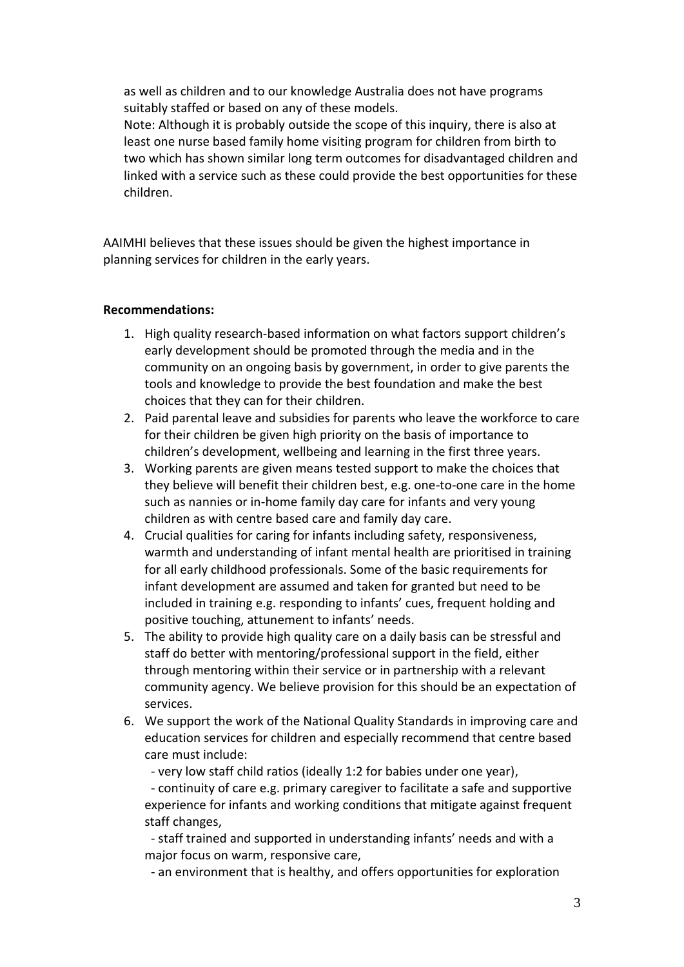as well as children and to our knowledge Australia does not have programs suitably staffed or based on any of these models.

Note: Although it is probably outside the scope of this inquiry, there is also at least one nurse based family home visiting program for children from birth to two which has shown similar long term outcomes for disadvantaged children and linked with a service such as these could provide the best opportunities for these children.

AAIMHI believes that these issues should be given the highest importance in planning services for children in the early years.

### **Recommendations:**

- 1. High quality research-based information on what factors support children's early development should be promoted through the media and in the community on an ongoing basis by government, in order to give parents the tools and knowledge to provide the best foundation and make the best choices that they can for their children.
- 2. Paid parental leave and subsidies for parents who leave the workforce to care for their children be given high priority on the basis of importance to children's development, wellbeing and learning in the first three years.
- 3. Working parents are given means tested support to make the choices that they believe will benefit their children best, e.g. one-to-one care in the home such as nannies or in-home family day care for infants and very young children as with centre based care and family day care.
- 4. Crucial qualities for caring for infants including safety, responsiveness, warmth and understanding of infant mental health are prioritised in training for all early childhood professionals. Some of the basic requirements for infant development are assumed and taken for granted but need to be included in training e.g. responding to infants' cues, frequent holding and positive touching, attunement to infants' needs.
- 5. The ability to provide high quality care on a daily basis can be stressful and staff do better with mentoring/professional support in the field, either through mentoring within their service or in partnership with a relevant community agency. We believe provision for this should be an expectation of services.
- 6. We support the work of the National Quality Standards in improving care and education services for children and especially recommend that centre based care must include:

- very low staff child ratios (ideally 1:2 for babies under one year),

 - continuity of care e.g. primary caregiver to facilitate a safe and supportive experience for infants and working conditions that mitigate against frequent staff changes,

 - staff trained and supported in understanding infants' needs and with a major focus on warm, responsive care,

- an environment that is healthy, and offers opportunities for exploration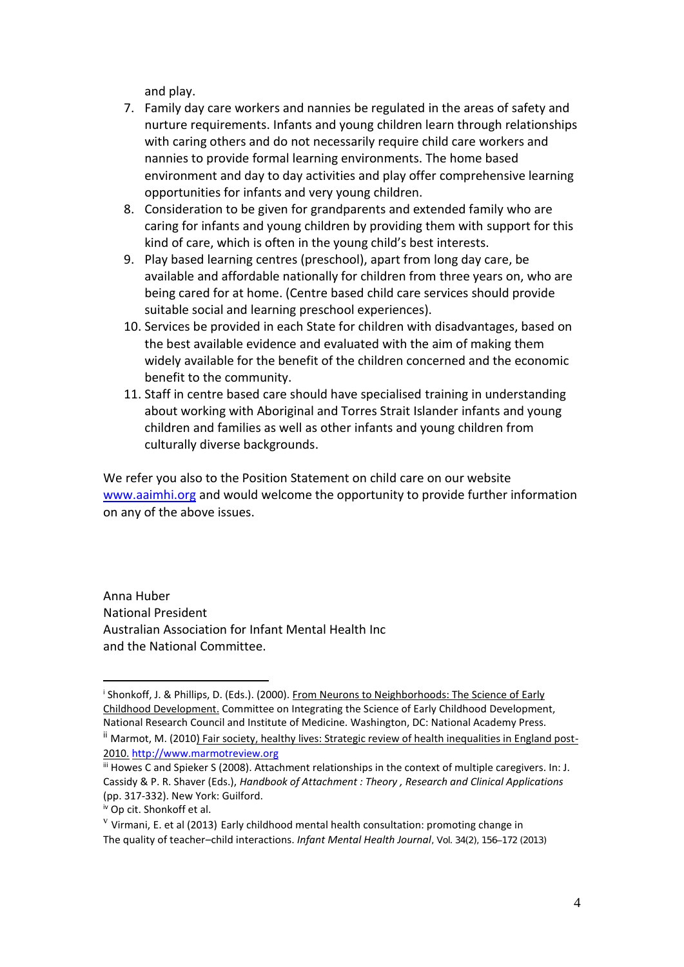and play.

- 7. Family day care workers and nannies be regulated in the areas of safety and nurture requirements. Infants and young children learn through relationships with caring others and do not necessarily require child care workers and nannies to provide formal learning environments. The home based environment and day to day activities and play offer comprehensive learning opportunities for infants and very young children.
- 8. Consideration to be given for grandparents and extended family who are caring for infants and young children by providing them with support for this kind of care, which is often in the young child's best interests.
- 9. Play based learning centres (preschool), apart from long day care, be available and affordable nationally for children from three years on, who are being cared for at home. (Centre based child care services should provide suitable social and learning preschool experiences).
- 10. Services be provided in each State for children with disadvantages, based on the best available evidence and evaluated with the aim of making them widely available for the benefit of the children concerned and the economic benefit to the community.
- 11. Staff in centre based care should have specialised training in understanding about working with Aboriginal and Torres Strait Islander infants and young children and families as well as other infants and young children from culturally diverse backgrounds.

We refer you also to the Position Statement on child care on our website [www.aaimhi.org](http://www.aaimhi.org/) and would welcome the opportunity to provide further information on any of the above issues.

Anna Huber National President Australian Association for Infant Mental Health Inc and the National Committee.

 $\overline{a}$ 

<sup>&</sup>lt;sup>i</sup> Shonkoff, J. & Phillips, D. (Eds.). (2000). <u>From Neurons to Neighborhoods: The Science of Early</u> Childhood Development. Committee on Integrating the Science of Early Childhood Development, National Research Council and Institute of Medicine. Washington, DC: National Academy Press. <sup>ii</sup> Marmot, M. (2010) Fair society, healthy lives: Strategic review of health inequalities in England post-2010. [http://www.marmotreview.org](http://www.marmotreview.org/)

iii Howes C and Spieker S (2008). Attachment relationships in the context of multiple caregivers. In: J. Cassidy & P. R. Shaver (Eds.), *Handbook of Attachment : Theory , Research and Clinical Applications*  (pp. 317-332). New York: Guilford.

iv Op cit. Shonkoff et al.

 $\rm{v}$  Virmani, E. et al (2013) Early childhood mental health consultation: promoting change in The quality of teacher–child interactions. *Infant Mental Health Journal, Vol. 34(2), 156–172 (2013)*